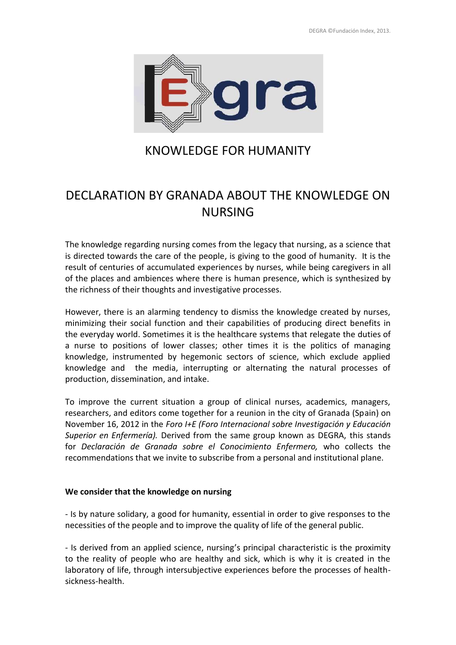

## KNOWLEDGE FOR HUMANITY

# DECLARATION BY GRANADA ABOUT THE KNOWLEDGE ON NURSING

The knowledge regarding nursing comes from the legacy that nursing, as a science that is directed towards the care of the people, is giving to the good of humanity. It is the result of centuries of accumulated experiences by nurses, while being caregivers in all of the places and ambiences where there is human presence, which is synthesized by the richness of their thoughts and investigative processes.

However, there is an alarming tendency to dismiss the knowledge created by nurses, minimizing their social function and their capabilities of producing direct benefits in the everyday world. Sometimes it is the healthcare systems that relegate the duties of a nurse to positions of lower classes; other times it is the politics of managing knowledge, instrumented by hegemonic sectors of science, which exclude applied knowledge and the media, interrupting or alternating the natural processes of production, dissemination, and intake.

To improve the current situation a group of clinical nurses, academics, managers, researchers, and editors come together for a reunion in the city of Granada (Spain) on November 16, 2012 in the *Foro I+E (Foro Internacional sobre Investigación y Educación Superior en Enfermería).* Derived from the same group known as DEGRA, this stands for *Declaración de Granada sobre el Conocimiento Enfermero,* who collects the recommendations that we invite to subscribe from a personal and institutional plane.

## **We consider that the knowledge on nursing**

- Is by nature solidary, a good for humanity, essential in order to give responses to the necessities of the people and to improve the quality of life of the general public.

- Is derived from an applied science, nursing's principal characteristic is the proximity to the reality of people who are healthy and sick, which is why it is created in the laboratory of life, through intersubjective experiences before the processes of health sickness-health.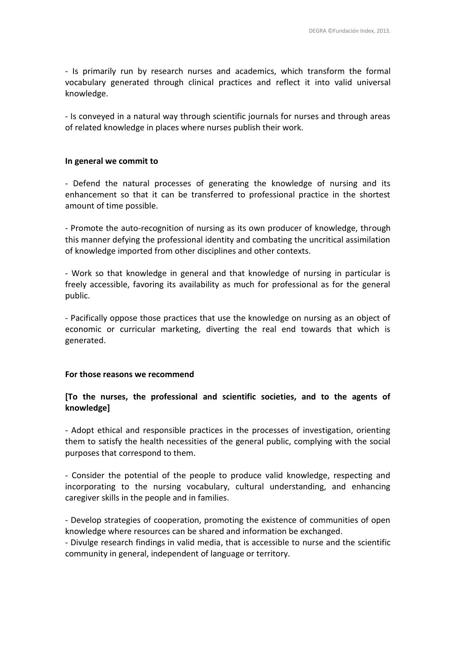- Is primarily run by research nurses and academics, which transform the formal vocabulary generated through clinical practices and reflect it into valid universal knowledge.

- Is conveyed in a natural way through scientific journals for nurses and through areas of related knowledge in places where nurses publish their work.

### **In general we commit to**

- Defend the natural processes of generating the knowledge of nursing and its enhancement so that it can be transferred to professional practice in the shortest amount of time possible.

- Promote the auto-recognition of nursing as its own producer of knowledge, through this manner defying the professional identity and combating the uncritical assimilation of knowledge imported from other disciplines and other contexts.

- Work so that knowledge in general and that knowledge of nursing in particular is freely accessible, favoring its availability as much for professional as for the general public.

- Pacifically oppose those practices that use the knowledge on nursing as an object of economic or curricular marketing, diverting the real end towards that which is generated.

#### **For those reasons we recommend**

## **[To the nurses, the professional and scientific societies, and to the agents of knowledge]**

- Adopt ethical and responsible practices in the processes of investigation, orienting them to satisfy the health necessities of the general public, complying with the social purposes that correspond to them.

- Consider the potential of the people to produce valid knowledge, respecting and incorporating to the nursing vocabulary, cultural understanding, and enhancing caregiver skills in the people and in families.

- Develop strategies of cooperation, promoting the existence of communities of open knowledge where resources can be shared and information be exchanged.

- Divulge research findings in valid media, that is accessible to nurse and the scientific community in general, independent of language or territory.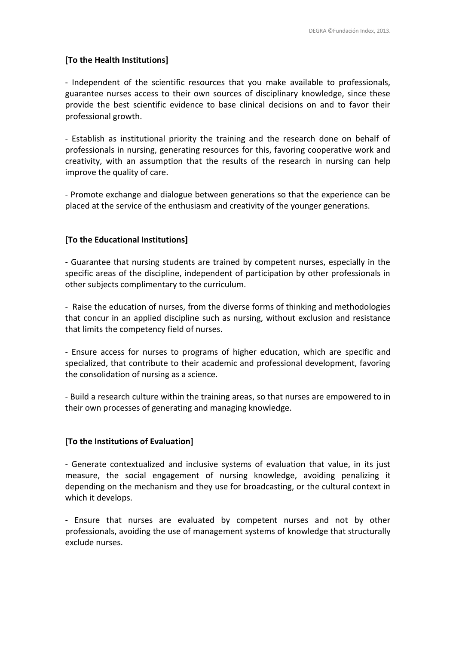### **[To the Health Institutions]**

- Independent of the scientific resources that you make available to professionals, guarantee nurses access to their own sources of disciplinary knowledge, since these provide the best scientific evidence to base clinical decisions on and to favor their professional growth.

- Establish as institutional priority the training and the research done on behalf of professionals in nursing, generating resources for this, favoring cooperative work and creativity, with an assumption that the results of the research in nursing can help improve the quality of care.

- Promote exchange and dialogue between generations so that the experience can be placed at the service of the enthusiasm and creativity of the younger generations.

### **[To the Educational Institutions]**

- Guarantee that nursing students are trained by competent nurses, especially in the specific areas of the discipline, independent of participation by other professionals in other subjects complimentary to the curriculum.

- Raise the education of nurses, from the diverse forms of thinking and methodologies that concur in an applied discipline such as nursing, without exclusion and resistance that limits the competency field of nurses.

- Ensure access for nurses to programs of higher education, which are specific and specialized, that contribute to their academic and professional development, favoring the consolidation of nursing as a science.

- Build a research culture within the training areas, so that nurses are empowered to in their own processes of generating and managing knowledge.

## **[To the Institutions of Evaluation]**

- Generate contextualized and inclusive systems of evaluation that value, in its just measure, the social engagement of nursing knowledge, avoiding penalizing it depending on the mechanism and they use for broadcasting, or the cultural context in which it develops.

- Ensure that nurses are evaluated by competent nurses and not by other professionals, avoiding the use of management systems of knowledge that structurally exclude nurses.